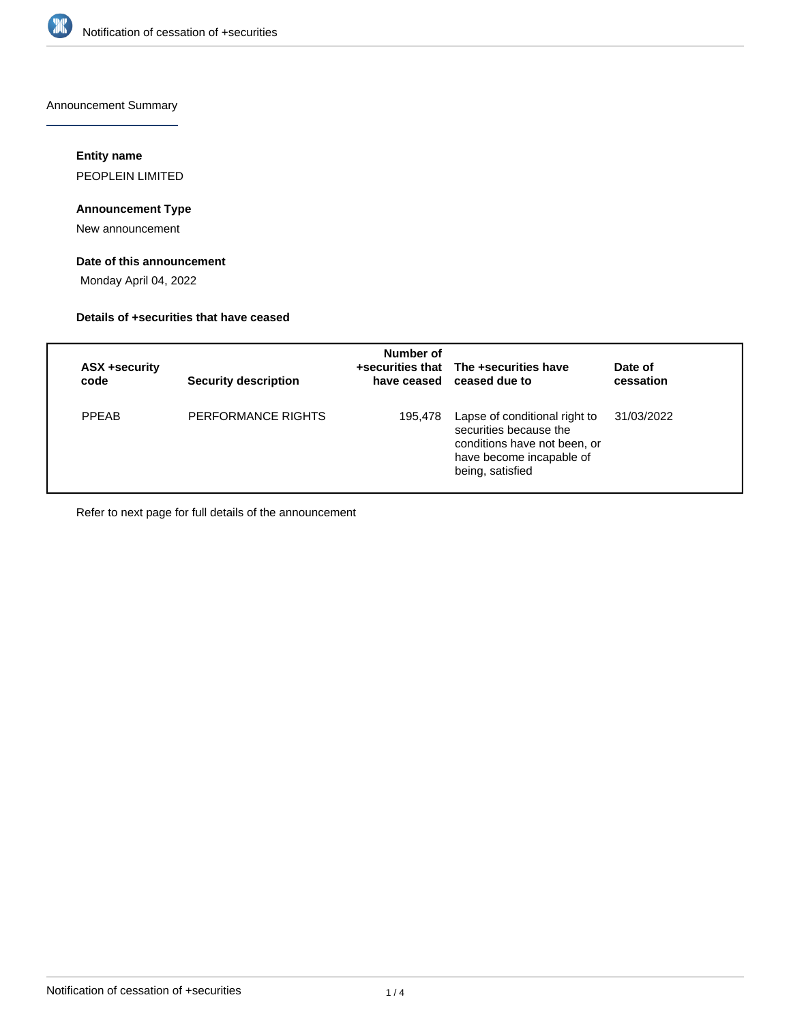

Announcement Summary

## **Entity name**

PEOPLEIN LIMITED

# **Announcement Type**

New announcement

# **Date of this announcement**

Monday April 04, 2022

## **Details of +securities that have ceased**

| ASX +security<br>code | <b>Security description</b> | Number of | +securities that The +securities have<br>have ceased ceased due to                                                                      | Date of<br>cessation |
|-----------------------|-----------------------------|-----------|-----------------------------------------------------------------------------------------------------------------------------------------|----------------------|
| <b>PPEAB</b>          | PERFORMANCE RIGHTS          | 195,478   | Lapse of conditional right to<br>securities because the<br>conditions have not been, or<br>have become incapable of<br>being, satisfied | 31/03/2022           |

Refer to next page for full details of the announcement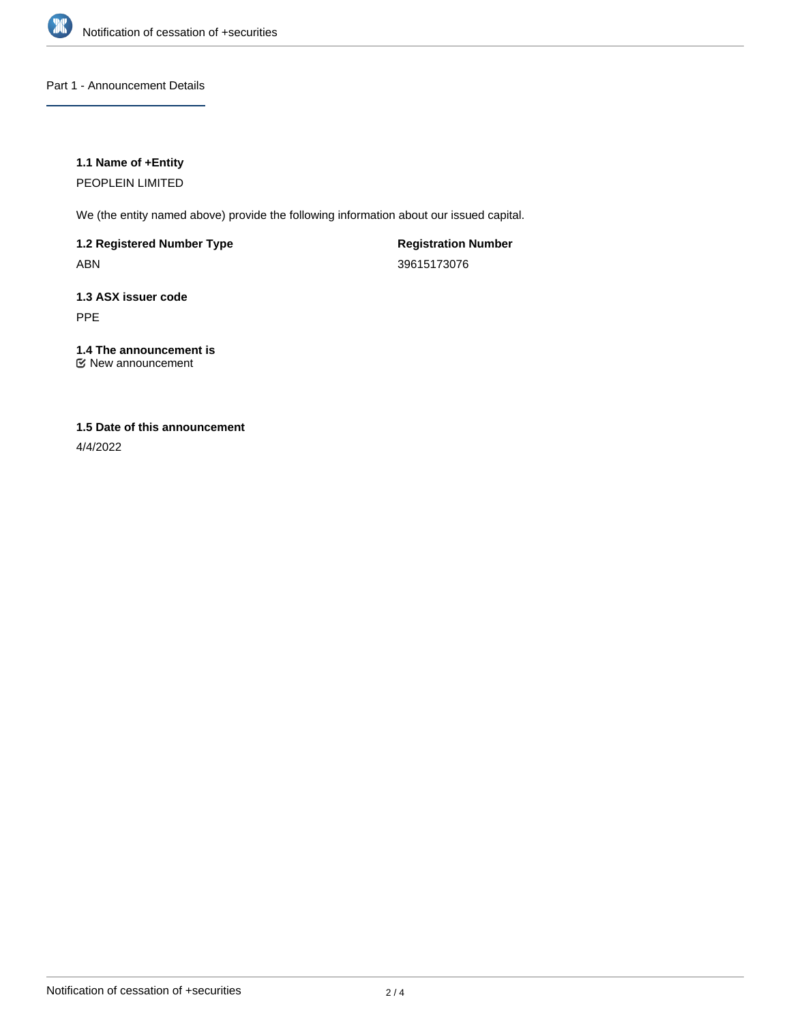

Part 1 - Announcement Details

## **1.1 Name of +Entity**

PEOPLEIN LIMITED

We (the entity named above) provide the following information about our issued capital.

**1.2 Registered Number Type** ABN

**Registration Number** 39615173076

**1.3 ASX issuer code** PPE

**1.4 The announcement is** New announcement

# **1.5 Date of this announcement**

4/4/2022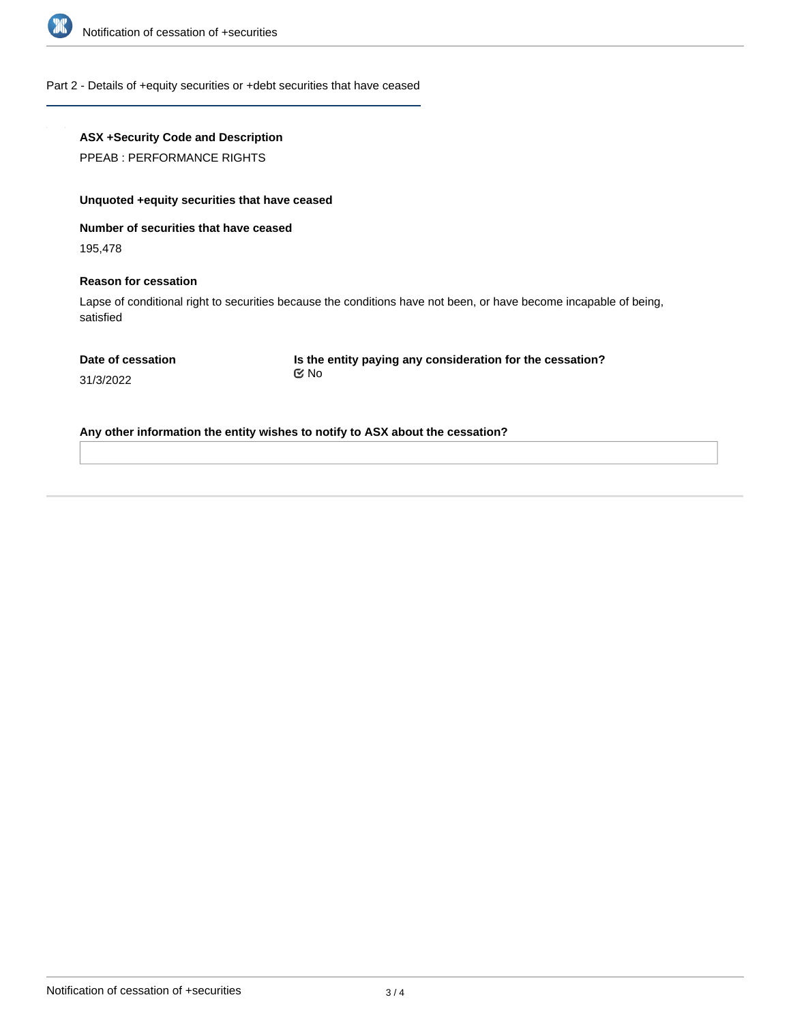

#### Part 2 - Details of +equity securities or +debt securities that have ceased

# **ASX +Security Code and Description**

PPEAB : PERFORMANCE RIGHTS

# **Unquoted +equity securities that have ceased**

**Number of securities that have ceased**

195,478

#### **Reason for cessation**

Lapse of conditional right to securities because the conditions have not been, or have become incapable of being, satisfied

**Is the entity paying any consideration for the cessation?** No

31/3/2022

**Any other information the entity wishes to notify to ASX about the cessation?**